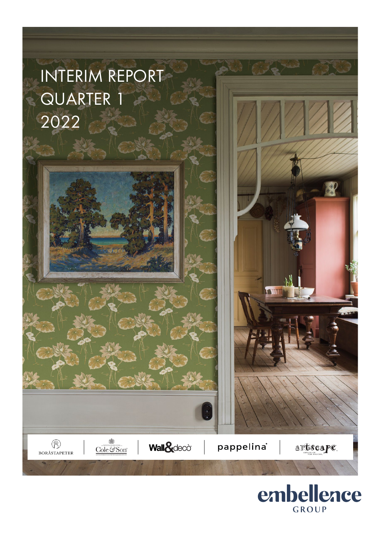

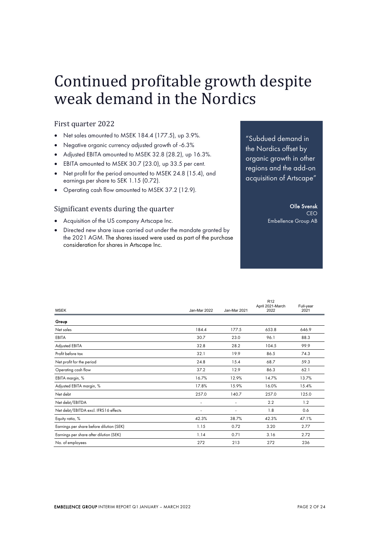## Continued profitable growth despite weak demand in the Nordics

## First quarter 2022

- Net sales amounted to MSEK 184.4 (177.5), up 3.9%.
- Negative organic currency adjusted growth of -6.3%
- Adjusted EBITA amounted to MSEK 32.8 (28.2), up 16.3%.
- EBITA amounted to MSEK 30.7 (23.0), up 33.5 per cent.
- Net profit for the period amounted to MSEK 24.8 (15.4), and earnings per share to SEK 1.15 (0.72).
- Operating cash flow amounted to MSEK 37.2 (12.9).

## Significant events during the quarter

- Acquisition of the US company Artscape Inc.
- Directed new share issue carried out under the mandate granted by the 2021 AGM. The shares issued were used as part of the purchase consideration for shares in Artscape Inc.

"Subdued demand in the Nordics offset by organic growth in other regions and the add-on acquisition of Artscape"

## Olle Svensk

CEO Embellence Group AB

|                                          |                          |              | R <sub>12</sub><br>April 2021-March | Full-year |
|------------------------------------------|--------------------------|--------------|-------------------------------------|-----------|
| <b>MSEK</b>                              | Jan-Mar 2022             | Jan-Mar 2021 | 2022                                | 2021      |
| Group                                    |                          |              |                                     |           |
| Net sales                                | 184.4                    | 177.5        | 653.8                               | 646.9     |
| EBITA                                    | 30.7                     | 23.0         | 96.1                                | 88.3      |
| Adjusted EBITA                           | 32.8                     | 28.2         | 104.5                               | 99.9      |
| Profit before tax                        | 32.1                     | 19.9         | 86.5                                | 74.3      |
| Net profit for the period                | 24.8                     | 15.4         | 68.7                                | 59.3      |
| Operating cash flow                      | 37.2                     | 12.9         | 86.3                                | 62.1      |
| EBITA margin, %                          | 16.7%                    | 12.9%        | 14.7%                               | 13.7%     |
| Adjusted EBITA margin, %                 | 17.8%                    | 15.9%        | 16.0%                               | 15.4%     |
| Net debt                                 | 257.0                    | 140.7        | 257.0                               | 125.0     |
| Net debt/EBITDA                          | $\overline{\phantom{a}}$ | ٠            | 2.2                                 | 1.2       |
| Net debt/EBITDA excl. IFRS16 effects     | ٠                        |              | 1.8                                 | 0.6       |
| Equity ratio, %                          | 42.3%                    | 38.7%        | 42.3%                               | 47.1%     |
| Earnings per share before dilution (SEK) | 1.15                     | 0.72         | 3.20                                | 2.77      |
| Earnings per share after dilution (SEK)  | 1.14                     | 0.71         | 3.16                                | 2.72      |
| No. of employees                         | 272                      | 213          | 272                                 | 236       |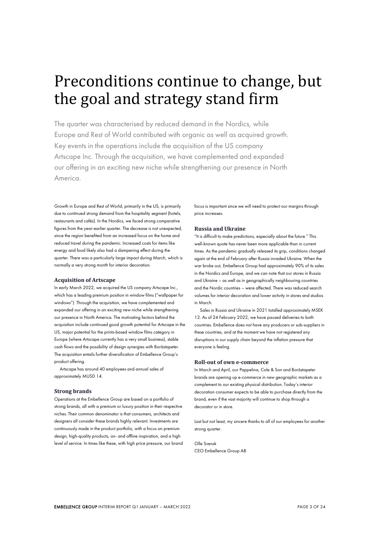## Preconditions continue to change, but the goal and strategy stand firm

The quarter was characterised by reduced demand in the Nordics, while Europe and Rest of World contributed with organic as well as acquired growth. Key events in the operations include the acquisition of the US company Artscape Inc. Through the acquisition, we have complemented and expanded our offering in an exciting new niche while strengthening our presence in North America.

Growth in Europe and Rest of World, primarily in the US, is primarily due to continued strong demand from the hospitality segment (hotels, restaurants and cafés). In the Nordics, we faced strong comparative figures from the year-earlier quarter. The decrease is not unexpected, since the region benefited from an increased focus on the home and reduced travel during the pandemic. Increased costs for items like energy and food likely also had a dampening effect during the quarter. There was a particularly large impact during March, which is normally a very strong month for interior decoration.

#### **Acquisition of Artscape**

In early March 2022, we acquired the US company Artscape Inc., which has a leading premium position in window films ("wallpaper for windows"). Through the acquisition, we have complemented and expanded our offering in an exciting new niche while strengthening our presence in North America. The motivating factors behind the acquisition include continued good growth potential for Artscape in the US, major potential for the prints-based window films category in Europe (where Artscape currently has a very small business), stable cash flows and the possibility of design synergies with Boråstapeter. The acquisition entails further diversification of Embellence Group's product offering.

Artscape has around 40 employees and annual sales of approximately MUSD 14.

#### **Strong brands**

Operations at the Embellence Group are based on a portfolio of strong brands, all with a premium or luxury position in their respective niches. Their common denominator is that consumers, architects and designers all consider these brands highly relevant. Investments are continuously made in the product portfolio, with a focus on premium design, high-quality products, on- and offline inspiration, and a high level of service. In times like these, with high price pressure, our brand focus is important since we will need to protect our margins through price increases.

## **Russia and Ukraine**

"It is difficult to make predictions, especially about the future." This well-known quote has never been more applicable than in current times. As the pandemic gradually released its grip, conditions changed again at the end of February after Russia invaded Ukraine. When the war broke out, Embellence Group had approximately 90% of its sales in the Nordics and Europe, and we can note that our stores in Russia and Ukraine – as well as in geographically neighbouring countries and the Nordic countries – were affected. There was reduced search volumes for interior decoration and lower activity in stores and studios in March.

Sales in Russia and Ukraine in 2021 totalled approximately MSEK 12. As of 24 February 2022, we have paused deliveries to both countries. Embellence does not have any producers or sub-suppliers in these countries, and at the moment we have not registered any disruptions in our supply chain beyond the inflation pressure that everyone is feeling.

#### **Roll-out of own e-commerce**

In March and April, our Pappelina, Cole & Son and Boråstapeter brands are opening up e-commerce in new geographic markets as a complement to our existing physical distribution. Today's interior decoration consumer expects to be able to purchase directly from the brand, even if the vast majority will continue to shop through a decorator or in store.

Last but not least, my sincere thanks to all of our employees for another strong quarter.

Olle Svensk CEO Embellence Group AB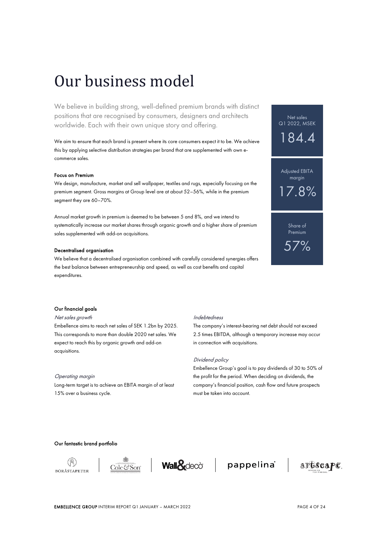## Our business model

We believe in building strong, well-defined premium brands with distinct positions that are recognised by consumers, designers and architects worldwide. Each with their own unique story and offering.

We aim to ensure that each brand is present where its core consumers expect it to be. We achieve this by applying selective distribution strategies per brand that are supplemented with own ecommerce sales.

#### Focus on Premium

We design, manufacture, market and sell wallpaper, textiles and rugs, especially focusing on the premium segment. Gross margins at Group level are at about 52–56%, while in the premium segment they are 60–70%.

Annual market growth in premium is deemed to be between 5 and 8%, and we intend to systematically increase our market shares through organic growth and a higher share of premium sales supplemented with add-on acquisitions.

### Decentralised organisation

We believe that a decentralised organisation combined with carefully considered synergies offers the best balance between entrepreneurship and speed, as well as cost benefits and capital expenditures.

## Net sales Q1 2022, MSEK 184.4 Adjusted EBITA margin  $17.8\%$ Share of Premium 57%

### Our financial goals

### Net sales growth

Embellence aims to reach net sales of SEK 1.2bn by 2025. This corresponds to more than double 2020 net sales. We expect to reach this by organic growth and add-on acquisitions.

## Operating margin

Long-term target is to achieve an EBITA margin of at least 15% over a business cycle.

### Indebtedness

The company's interest-bearing net debt should not exceed 2.5 times EBITDA, although a temporary increase may occur in connection with acquisitions.

#### Dividend policy

Embellence Group's goal is to pay dividends of 30 to 50% of the profit for the period. When deciding on dividends, the company's financial position, cash flow and future prospects must be taken into account.

## Our fantastic brand portfolio







pappelina®

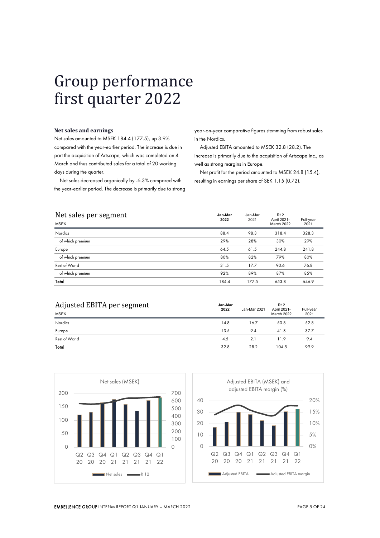## Group performance first quarter 2022

#### **Net sales and earnings**

Net sales amounted to MSEK 184.4 (177.5), up 3.9% compared with the year-earlier period. The increase is due in part the acquisition of Artscape, which was completed on 4 March and thus contributed sales for a total of 20 working days during the quarter.

Net sales decreased organically by -6.3% compared with the year-earlier period. The decrease is primarily due to strong year-on-year comparative figures stemming from robust sales in the Nordics.

Adjusted EBITA amounted to MSEK 32.8 (28.2). The increase is primarily due to the acquisition of Artscape Inc., as well as strong margins in Europe.

Net profit for the period amounted to MSEK 24.8 (15.4), resulting in earnings per share of SEK 1.15 (0.72).

| Net sales per segment<br><b>MSEK</b> | Jan-Mar<br>2022 | Jan-Mar<br>2021 | R <sub>12</sub><br>April 2021-<br>March 2022 | Full-year<br>2021 |
|--------------------------------------|-----------------|-----------------|----------------------------------------------|-------------------|
| Nordics                              | 88.4            | 98.3            | 318.4                                        | 328.3             |
| of which premium                     | 29%             | 28%             | 30%                                          | 29%               |
| Europe                               | 64.5            | 61.5            | 244.8                                        | 241.8             |
| of which premium                     | 80%             | 82%             | 79%                                          | 80%               |
| Rest of World                        | 31.5            | 17.7            | 90.6                                         | 76.8              |
| of which premium                     | 92%             | 89%             | 87%                                          | 85%               |
| Total                                | 184.4           | 177.5           | 653.8                                        | 646.9             |

| Adjusted EBITA per segment | Jan-Mar<br>2022 | Jan-Mar 2021   | R <sub>12</sub><br>April 2021- | Full-year<br>2021 |
|----------------------------|-----------------|----------------|--------------------------------|-------------------|
| <b>MSEK</b>                |                 |                | <b>March 2022</b>              |                   |
| <b>Nordics</b>             | 14.8            | 16.7           | 50.8                           | 52.8              |
| Europe                     | 13.5            | 9.4            | 41.8                           | 37.7              |
| Rest of World              | 4.5             | 2 <sub>1</sub> | 11.9                           | 9.4               |
| Total                      | 32.8            | 28.2           | 104.5                          | 99.9              |



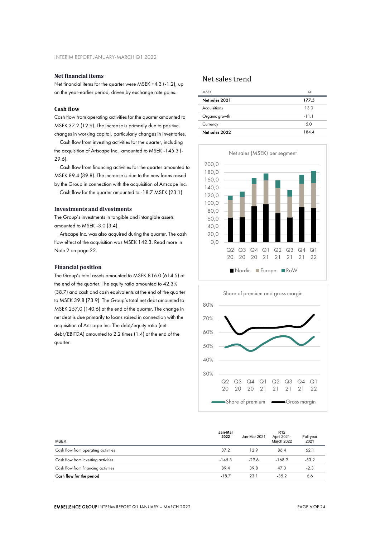## **Net financial items**

Net financial items for the quarter were MSEK +4.3 (-1.2), up on the year-earlier period, driven by exchange rate gains.

## **Cash flow**

Cash flow from operating activities for the quarter amounted to MSEK 37.2 (12.9). The increase is primarily due to positive changes in working capital, particularly changes in inventories.

Cash flow from investing activities for the quarter, including the acquisition of Artscape Inc., amounted to MSEK -145.3 (- 29.6).

Cash flow from financing activities for the quarter amounted to MSEK 89.4 (39.8). The increase is due to the new loans raised by the Group in connection with the acquisition of Artscape Inc.

Cash flow for the quarter amounted to -18.7 MSEK (23.1).

## **Investments and divestments**

The Group's investments in tangible and intangible assets amounted to MSEK -3.0 (3.4).

Artscape Inc. was also acquired during the quarter. The cash flow effect of the acquisition was MSEK 142.3. Read more in Note 2 on page 22.

### **Financial position**

The Group's total assets amounted to MSEK 816.0 (614.5) at the end of the quarter. The equity ratio amounted to 42.3% (38.7) and cash and cash equivalents at the end of the quarter to MSEK 39.8 (73.9). The Group's total net debt amounted to MSEK 257.0 (140.6) at the end of the quarter. The change in net debt is due primarily to loans raised in connection with the acquisition of Artscape Inc. The debt/equity ratio (net debt/EBITDA) amounted to 2.2 times (1.4) at the end of the quarter.

## Net sales trend

| MSFK           | Q <sub>1</sub> |
|----------------|----------------|
| Net sales 2021 | 177.5          |
| Acquisitions   | 13.0           |
| Organic growth | $-11.1$        |
| Currency       | 5.0            |
| Net sales 2022 | 184.4          |
|                |                |





| <b>MSEK</b>                         | Jan-Mar<br>2022 | Jan-Mar 2021 | R <sub>12</sub><br>April 2021-<br>March 2022 | Full-year<br>2021 |
|-------------------------------------|-----------------|--------------|----------------------------------------------|-------------------|
| Cash flow from operating activities | 37.2            | 12.9         | 86.4                                         | 62.1              |
| Cash flow from investing activities | $-145.3$        | $-29.6$      | $-168.9$                                     | $-53.2$           |
| Cash flow from financing activities | 89.4            | 39.8         | 47.3                                         | $-2.3$            |
| Cash flow for the period            | $-18.7$         | 23.1         | $-35.2$                                      | 6.6               |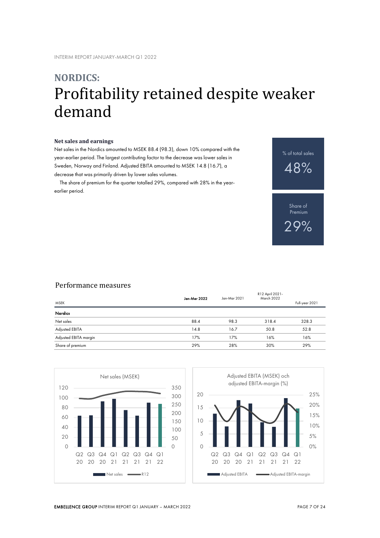## **NORDICS:** Profitability retained despite weaker demand

#### **Net sales and earnings**

Net sales in the Nordics amounted to MSEK 88.4 (98.3), down 10% compared with the year-earlier period. The largest contributing factor to the decrease was lower sales in Sweden, Norway and Finland. Adjusted EBITA amounted to MSEK 14.8 (16.7), a decrease that was primarily driven by lower sales volumes.

The share of premium for the quarter totalled 29%, compared with 28% in the yearearlier period.

% of total sales 48%

> Share of Premium 29%

## Performance measures

| <b>MSEK</b>           | Jan-Mar 2022 | Jan-Mar 2021 | R12 April 2021-<br>March 2022 | Full-year 2021 |
|-----------------------|--------------|--------------|-------------------------------|----------------|
| Nordics               |              |              |                               |                |
| Net sales             | 88.4         | 98.3         | 318.4                         | 328.3          |
| Adjusted EBITA        | 14.8         | 16.7         | 50.8                          | 52.8           |
| Adjusted EBITA margin | 17%          | 17%          | 16%                           | 16%            |
| Share of premium      | 29%          | 28%          | 30%                           | 29%            |



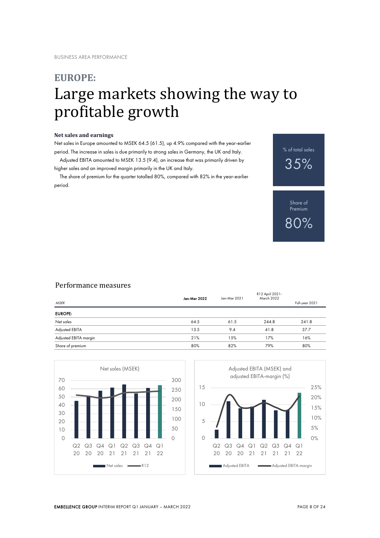## **EUROPE:** Large markets showing the way to profitable growth

## **Net sales and earnings**

Net sales in Europe amounted to MSEK 64.5 (61.5), up 4.9% compared with the year-earlier period. The increase in sales is due primarily to strong sales in Germany, the UK and Italy.

Adjusted EBITA amounted to MSEK 13.5 (9.4), an increase that was primarily driven by higher sales and an improved margin primarily in the UK and Italy.

The share of premium for the quarter totalled 80%, compared with 82% in the year-earlier period.

% of total sales 35%

> Share of **Premium** 80%

## Performance measures

| <b>MSEK</b>           | Jan-Mar 2022 | Jan-Mar 2021 | R12 April 2021-<br><b>March 2022</b> | Full-year 2021 |
|-----------------------|--------------|--------------|--------------------------------------|----------------|
| <b>EUROPE:</b>        |              |              |                                      |                |
| Net sales             | 64.5         | 61.5         | 244.8                                | 241.8          |
| Adjusted EBITA        | 13.5         | 9.4          | 41.8                                 | 37.7           |
| Adjusted EBITA margin | 21%          | 15%          | 17%                                  | 16%            |
| Share of premium      | 80%          | 82%          | 79%                                  | 80%            |



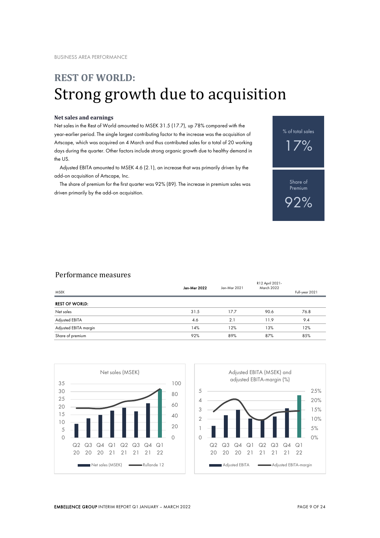## **REST OF WORLD:** Strong growth due to acquisition

### **Net sales and earnings**

Net sales in the Rest of World amounted to MSEK 31.5 (17.7), up 78% compared with the year-earlier period. The single largest contributing factor to the increase was the acquisition of Artscape, which was acquired on 4 March and thus contributed sales for a total of 20 working days during the quarter. Other factors include strong organic growth due to healthy demand in the US.

Adjusted EBITA amounted to MSEK 4.6 (2.1), an increase that was primarily driven by the add-on acquisition of Artscape, Inc.

The share of premium for the first quarter was 92% (89). The increase in premium sales was driven primarily by the add-on acquisition.



## Performance measures

| Jan-Mar 2022 | Jan-Mar 2021 | R12 April 2021-<br>March 2022 | Full-year 2021 |
|--------------|--------------|-------------------------------|----------------|
|              |              |                               |                |
| 31.5         | 17.7         | 90.6                          | 76.8           |
| 4.6          | 2.1          | 11.9                          | 9.4            |
| 14%          | 12%          | 13%                           | 12%            |
| 92%          | 89%          | 87%                           | 85%            |
|              |              |                               |                |



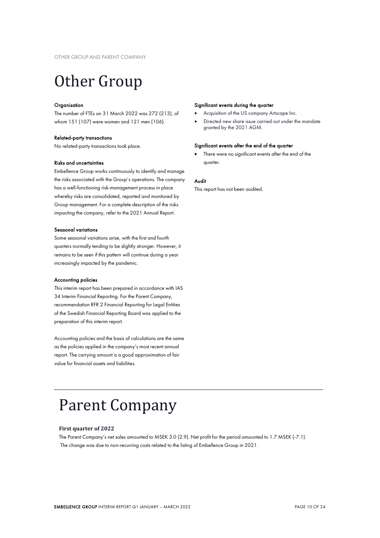# Other Group

#### **Organisation**

The number of FTEs on 31 March 2022 was 272 (213), of whom 151 (107) were women and 121 men (106).

### Related-party transactions

No related-party transactions took place.

#### Risks and uncertainties

Embellence Group works continuously to identify and manage the risks associated with the Group's operations. The company has a well-functioning risk-management process in place whereby risks are consolidated, reported and monitored by Group management. For a complete description of the risks impacting the company, refer to the 2021 Annual Report.

### Seasonal variations

Some seasonal variations arise, with the first and fourth quarters normally tending to be slightly stronger. However, it remains to be seen if this pattern will continue during a year increasingly impacted by the pandemic.

### Accounting policies

This interim report has been prepared in accordance with IAS 34 Interim Financial Reporting. For the Parent Company, recommendation RFR 2 Financial Reporting for Legal Entities of the Swedish Financial Reporting Board was applied to the preparation of this interim report.

Accounting policies and the basis of calculations are the same as the policies applied in the company's most recent annual report. The carrying amount is a good approximation of fair value for financial assets and liabilities.

#### Significant events during the quarter

- Acquisition of the US company Artscape Inc.
- Directed new share issue carried out under the mandate granted by the 2021 AGM.

### Significant events after the end of the quarter

There were no significant events after the end of the quarter.

## Audit

This report has not been audited.

## Parent Company

### **First quarter of 2022**

 $\overline{a}$ 

The Parent Company's net sales amounted to MSEK 3.0 (2.9). Net profit for the period amounted to 1.7 MSEK (-7.1). The change was due to non-recurring costs related to the listing of Embellence Group in 2021.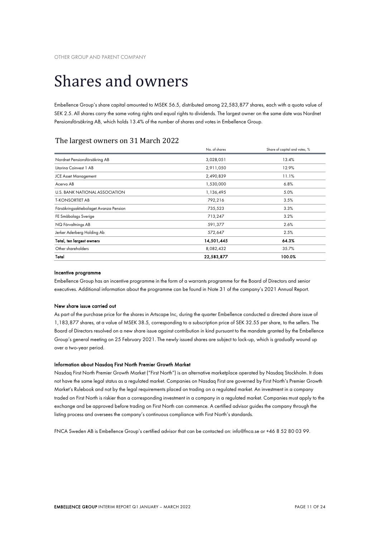## Shares and owners

Embellence Group's share capital amounted to MSEK 56.5, distributed among 22,583,877 shares, each with a quota value of SEK 2.5. All shares carry the same voting rights and equal rights to dividends. The largest owner on the same date was Nordnet Pensionsförsäkring AB, which holds 13.4% of the number of shares and votes in Embellence Group.

## The largest owners on 31 March 2022

|                                        | No. of shares | Share of capital and votes, % |
|----------------------------------------|---------------|-------------------------------|
| Nordnet Pensionsförsäkring AB          | 3,028,051     | 13.4%                         |
| Litorina Coinvest 1 AB                 | 2,911,050     | 12.9%                         |
| <b>JCE Asset Management</b>            | 2,490,839     | 11.1%                         |
| Acervo AB                              | 1,530,000     | 6.8%                          |
| <b>U.S. BANK NATIONAL ASSOCIATION</b>  | 1,136,495     | 5.0%                          |
| <b>T-KONSORTIET AB</b>                 | 792,216       | 3.5%                          |
| Försäkringsaktiebolaget Avanza Pension | 735,523       | 3.3%                          |
| FE Småbolags Sverige                   | 713,247       | 3.2%                          |
| NQ Förvaltnings AB                     | 591,377       | 2.6%                          |
| Jerker Aderberg Holding Ab             | 572,647       | 2.5%                          |
| Total, ten largest owners              | 14,501,445    | 64.3%                         |
| Other shareholders                     | 8,082,432     | 35.7%                         |
| Total                                  | 22,583,877    | 100.0%                        |

### Incentive programme

Embellence Group has an incentive programme in the form of a warrants programme for the Board of Directors and senior executives. Additional information about the programme can be found in Note 31 of the company's 2021 Annual Report.

## New share issue carried out

As part of the purchase price for the shares in Artscape Inc, during the quarter Embellence conducted a directed share issue of 1,183,877 shares, at a value of MSEK 38.5, corresponding to a subscription price of SEK 32.55 per share, to the sellers. The Board of Directors resolved on a new share issue against contribution in kind pursuant to the mandate granted by the Embellence Group's general meeting on 25 February 2021. The newly issued shares are subject to lock-up, which is gradually wound up over a two-year period.

#### Information about Nasdaq First North Premier Growth Market

Nasdaq First North Premier Growth Market ("First North") is an alternative marketplace operated by Nasdaq Stockholm. It does not have the same legal status as a regulated market. Companies on Nasdaq First are governed by First North's Premier Growth Market's Rulebook and not by the legal requirements placed on trading on a regulated market. An investment in a company traded on First North is riskier than a corresponding investment in a company in a regulated market. Companies must apply to the exchange and be approved before trading on First North can commence. A certified advisor guides the company through the listing process and oversees the company's continuous compliance with First North's standards.

FNCA Sweden AB is Embellence Group's certified advisor that can be contacted on: info@fnca.se or +46 8 52 80 03 99.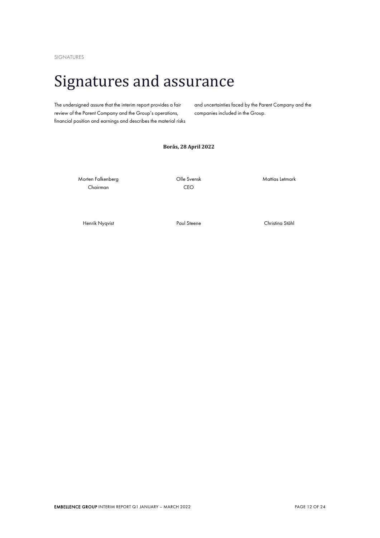SIGNATURES

## Signatures and assurance

The undersigned assure that the interim report provides a fair review of the Parent Company and the Group's operations, financial position and earnings and describes the material risks and uncertainties faced by the Parent Company and the companies included in the Group.

## **Borås, 28 April 2022**

Morten Falkenberg Chairman

Olle Svensk CEO

Mattias Letmark

Henrik Nyqvist Paul Steene Christina Ståhl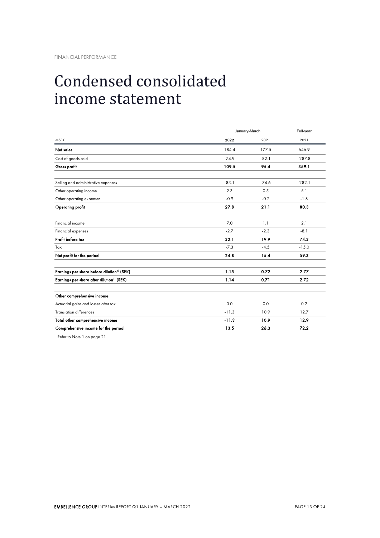# Condensed consolidated income statement

|                                                        | January-March |         | Full-year |  |
|--------------------------------------------------------|---------------|---------|-----------|--|
| <b>MSFK</b>                                            | 2022          | 2021    | 2021      |  |
| Net sales                                              | 184.4         | 177.5   | 646.9     |  |
| Cost of goods sold                                     | $-74.9$       | $-82.1$ | $-287.8$  |  |
| Gross profit                                           | 109.5         | 95.4    | 359.1     |  |
| Selling and administrative expenses                    | $-83.1$       | $-74.6$ | $-282.1$  |  |
| Other operating income                                 | 2.3           | 0.5     | 5.1       |  |
| Other operating expenses                               | $-0.9$        | $-0.2$  | $-1.8$    |  |
| Operating profit                                       | 27.8          | 21.1    | 80.3      |  |
| Financial income                                       | 7.0           | 1.1     | 2.1       |  |
| Financial expenses                                     | $-2.7$        | $-2.3$  | $-8.1$    |  |
| Profit before tax                                      | 32.1          | 19.9    | 74.3      |  |
| Tax                                                    | $-7.3$        | $-4.5$  | $-15.0$   |  |
| Net profit for the period                              | 24.8          | 15.4    | 59.3      |  |
| Earnings per share before dilution <sup>1)</sup> (SEK) | 1.15          | 0.72    | 2.77      |  |
| Earnings per share after dilution <sup>1)</sup> (SEK)  | 1.14          | 0.71    | 2.72      |  |
| Other comprehensive income                             |               |         |           |  |
| Actuarial gains and losses after tax                   | 0.0           | 0.0     | 0.2       |  |
| <b>Translation differences</b>                         | $-11.3$       | 10.9    | 12.7      |  |
| Total other comprehensive income                       | $-11.3$       | 10.9    | 12.9      |  |
| Comprehensive income for the period                    | 13.5          | 26.3    | 72.2      |  |

1) Refer to Note 1 on page 21.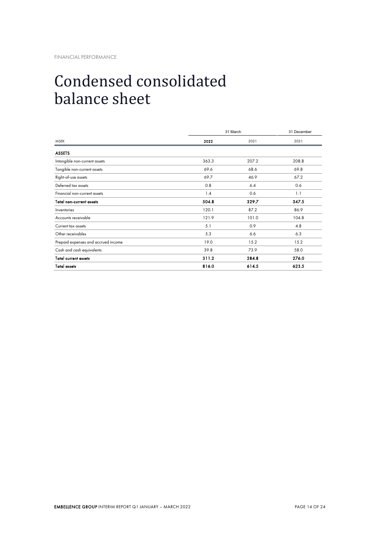# Condensed consolidated balance sheet

|                                     |       | 31 March |       |  |
|-------------------------------------|-------|----------|-------|--|
| <b>MSEK</b>                         | 2022  | 2021     | 2021  |  |
| <b>ASSETS</b>                       |       |          |       |  |
| Intangible non-current assets       | 363.3 | 207.2    | 208.8 |  |
| Tangible non-current assets         | 69.6  | 68.6     | 69.8  |  |
| Right-of-use assets                 | 69.7  | 46.9     | 67.2  |  |
| Deferred tax assets                 | 0.8   | 6.4      | 0.6   |  |
| Financial non-current assets        | 1.4   | 0.6      | 1.1   |  |
| <b>Total non-current assets</b>     | 504.8 | 329.7    | 347.5 |  |
| Inventories                         | 120.1 | 87.2     | 86.9  |  |
| Accounts receivable                 | 121.9 | 101.0    | 104.8 |  |
| Current tax assets                  | 5.1   | 0.9      | 4.8   |  |
| Other receivables                   | 5.3   | 6.6      | 6.3   |  |
| Prepaid expenses and accrued income | 19.0  | 15.2     | 15.2  |  |
| Cash and cash equivalents           | 39.8  | 73.9     | 58.0  |  |
| <b>Total current assets</b>         | 311.2 | 284.8    | 276.0 |  |
| <b>Total assets</b>                 | 816.0 | 614.5    | 623.5 |  |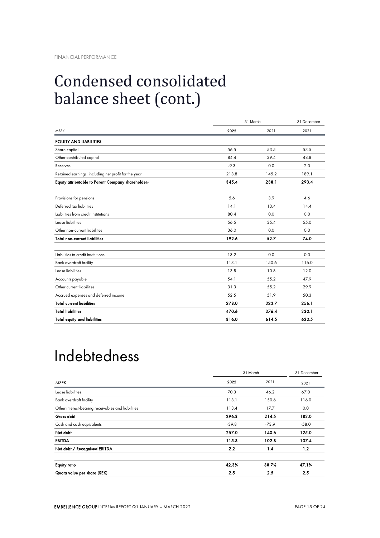# Condensed consolidated balance sheet (cont.)

|                                                      | 31 March |       | 31 December |  |
|------------------------------------------------------|----------|-------|-------------|--|
| <b>MSFK</b>                                          | 2022     | 2021  | 2021        |  |
| <b>EQUITY AND LIABILITIES</b>                        |          |       |             |  |
| Share capital                                        | 56.5     | 53.5  | 53.5        |  |
| Other contributed capital                            | 84.4     | 39.4  | 48.8        |  |
| Reserves                                             | $-9.3$   | 0.0   | 2.0         |  |
| Retained earnings, including net profit for the year | 213.8    | 145.2 | 189.1       |  |
| Equity attributable to Parent Company shareholders   | 345.4    | 238.1 | 293.4       |  |
| Provisions for pensions                              | 5.6      | 3.9   | 4.6         |  |
| Deferred tax liabilities                             | 14.1     | 13.4  | 14.4        |  |
| Liabilities from credit institutions                 | 80.4     | 0.0   | 0.0         |  |
| Lease liabilities                                    | 56.5     | 35.4  | 55.0        |  |
| Other non-current liabilities                        | 36.0     | 0.0   | 0.0         |  |
| <b>Total non-current liabilities</b>                 | 192.6    | 52.7  | 74.0        |  |
| Liabilities to credit institutions                   | 13.2     | 0.0   | 0.0         |  |
| <b>Bank overdraft facility</b>                       | 113.1    | 150.6 | 116.0       |  |
| Lease liabilities                                    | 13.8     | 10.8  | 12.0        |  |
| Accounts payable                                     | 54.1     | 55.2  | 47.9        |  |
| Other current liabilities                            | 31.3     | 55.2  | 29.9        |  |
| Accrued expenses and deferred income                 | 52.5     | 51.9  | 50.3        |  |
| <b>Total current liabilities</b>                     | 278.0    | 323.7 | 256.1       |  |
| <b>Total liabilities</b>                             | 470.6    | 376.4 | 330.1       |  |
| <b>Total equity and liabilities</b>                  | 816.0    | 614.5 | 623.5       |  |

# Indebtedness

|                                                    |         | 31 March |         |  |  |
|----------------------------------------------------|---------|----------|---------|--|--|
| <b>MSEK</b>                                        | 2022    | 2021     | 2021    |  |  |
| Lease liabilities                                  | 70.3    | 46.2     | 67.0    |  |  |
| Bank overdraft facility                            | 113.1   | 150.6    | 116.0   |  |  |
| Other interest-bearing receivables and liabilities | 113.4   | 17.7     | 0.0     |  |  |
| Gross debt                                         | 296.8   | 214.5    | 183.0   |  |  |
| Cash and cash equivalents                          | $-39.8$ | $-73.9$  | $-58.0$ |  |  |
| Net debt                                           | 257.0   | 140.6    | 125.0   |  |  |
| <b>EBITDA</b>                                      | 115.8   | 102.8    | 107.4   |  |  |
| Net debt / Recognised EBITDA                       | 2.2     | 1.4      | 1.2     |  |  |
| <b>Equity ratio</b>                                | 42.3%   | 38.7%    | 47.1%   |  |  |
| Quota value per share (SEK)                        | 2.5     | 2.5      | 2.5     |  |  |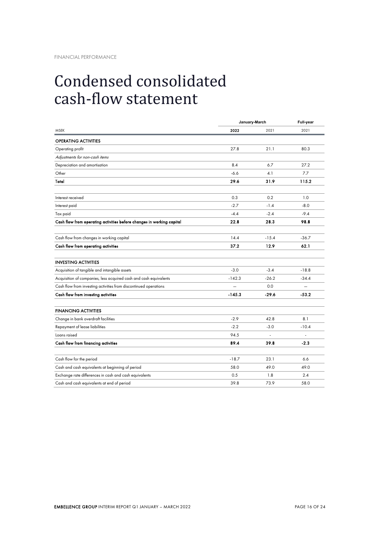## Condensed consolidated cash-flow statement

|                                                                       |          | January-March | Full-year |  |
|-----------------------------------------------------------------------|----------|---------------|-----------|--|
| <b>MSEK</b>                                                           | 2022     | 2021          | 2021      |  |
| <b>OPERATING ACTIVITIES</b>                                           |          |               |           |  |
| Operating profit                                                      | 27.8     | 21.1          | 80.3      |  |
| Adjustments for non-cash items                                        |          |               |           |  |
| Depreciation and amortisation                                         | 8.4      | 6.7           | 27.2      |  |
| Other                                                                 | $-6.6$   | 4.1           | 7.7       |  |
| Total                                                                 | 29.6     | 31.9          | 115.2     |  |
| Interest received                                                     | 0.3      | 0.2           | 1.0       |  |
| Interest paid                                                         | $-2.7$   | $-1.4$        | $-8.0$    |  |
| Tax paid                                                              | $-4.4$   | $-2.4$        | $-9.4$    |  |
| Cash flow from operating activities before changes in working capital | 22.8     | 28.3          | 98.8      |  |
|                                                                       |          |               |           |  |
| Cash flow from changes in working capital                             | 14.4     | $-15.4$       | $-36.7$   |  |
| Cash flow from operating activities                                   | 37.2     | 12.9          | 62.1      |  |
| <b>INVESTING ACTIVITIES</b>                                           |          |               |           |  |
| Acquisition of tangible and intangible assets                         | $-3.0$   | $-3.4$        | $-18.8$   |  |
| Acquisition of companies, less acquired cash and cash equivalents     | $-142.3$ | $-26.2$       | $-34.4$   |  |
| Cash flow from investing activities from discontinued operations      |          | 0.0           |           |  |
| Cash flow from investing activities                                   | $-145.3$ | $-29.6$       | $-53.2$   |  |
|                                                                       |          |               |           |  |
| <b>FINANCING ACTIVITIES</b>                                           |          |               |           |  |
| Change in bank overdraft facilities                                   | $-2.9$   | 42.8          | 8.1       |  |
| Repayment of lease liabilities                                        | $-2.2$   | $-3.0$        | $-10.4$   |  |
| Loans raised                                                          | 94.5     | ÷.            | ÷.        |  |
| Cash flow from financing activities                                   | 89.4     | 39.8          | $-2.3$    |  |
|                                                                       |          |               |           |  |
| Cash flow for the period                                              | $-18.7$  | 23.1          | 6.6       |  |
| Cash and cash equivalents at beginning of period                      | 58.0     | 49.0          | 49.0      |  |
| Exchange rate differences in cash and cash equivalents                | 0.5      | 1.8           | 2.4       |  |
| Cash and cash equivalents at end of period                            | 39.8     | 73.9          | 58.0      |  |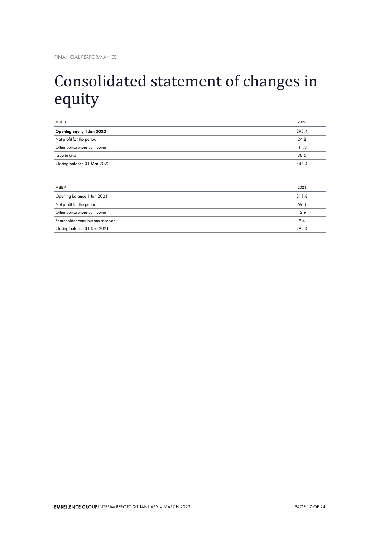# Consolidated statement of changes in equity

| 293.4   |
|---------|
|         |
| 24.8    |
| $-11.3$ |
| 38.5    |
| 345.4   |
|         |

| <b>MSEK</b>                        | 2021  |
|------------------------------------|-------|
| Opening balance 1 Jan 2021         | 211.8 |
| Net profit for the period          | 59.3  |
| Other comprehensive income         | 12.9  |
| Shareholder contributions received | 9.4   |
| Closing balance 31 Dec 2021        | 293.4 |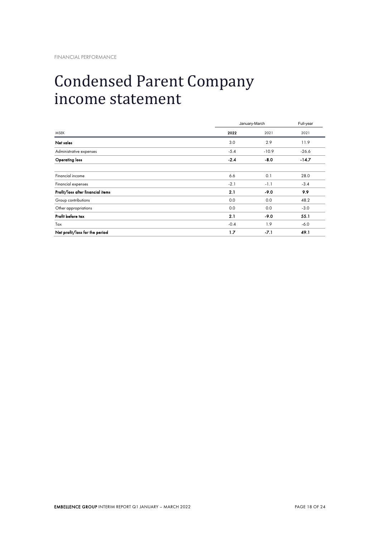## Condensed Parent Company income statement

|                                   |        | January-March |         |  |
|-----------------------------------|--------|---------------|---------|--|
| <b>MSEK</b>                       | 2022   | 2021          | 2021    |  |
| Net sales                         | 3.0    | 2.9           | 11.9    |  |
| Administrative expenses           | $-5.4$ | $-10.9$       | $-26.6$ |  |
| <b>Operating loss</b>             | $-2.4$ | $-8.0$        | $-14.7$ |  |
| Financial income                  | 6.6    | 0.1           | 28.0    |  |
| Financial expenses                | $-2.1$ | $-1.1$        | $-3.4$  |  |
| Profit/loss after financial items | 2.1    | $-9.0$        | 9.9     |  |
| Group contributions               | 0.0    | 0.0           | 48.2    |  |
| Other appropriations              | 0.0    | 0.0           | $-3.0$  |  |
| Profit before tax                 | 2.1    | $-9.0$        | 55.1    |  |
| Tax                               | $-0.4$ | 1.9           | $-6.0$  |  |
| Net profit/loss for the period    | 1.7    | $-7.1$        | 49.1    |  |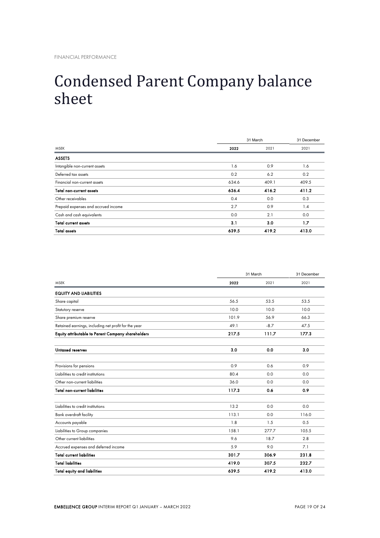## Condensed Parent Company balance sheet

|                                     | 31 March | 31 December |       |
|-------------------------------------|----------|-------------|-------|
| <b>MSEK</b>                         | 2022     | 2021        | 2021  |
| <b>ASSETS</b>                       |          |             |       |
| Intangible non-current assets       | 1.6      | 0.9         | 1.6   |
| Deferred tax assets                 | 0.2      | 6.2         | 0.2   |
| Financial non-current assets        | 634.6    | 409.1       | 409.5 |
| <b>Total non-current assets</b>     | 636.4    | 416.2       | 411.2 |
| Other receivables                   | 0.4      | 0.0         | 0.3   |
| Prepaid expenses and accrued income | 2.7      | 0.9         | 1.4   |
| Cash and cash equivalents           | 0.0      | 2.1         | 0.0   |
| <b>Total current assets</b>         | 3.1      | 3.0         | 1.7   |
| <b>Total assets</b>                 | 639.5    | 419.2       | 413.0 |

|                                                      |       | 31 March |       |
|------------------------------------------------------|-------|----------|-------|
| <b>MSEK</b>                                          | 2022  | 2021     | 2021  |
| <b>EQUITY AND LIABILITIES</b>                        |       |          |       |
| Share capital                                        | 56.5  | 53.5     | 53.5  |
| Statutory reserve                                    | 10.0  | 10.0     | 10.0  |
| Share premium reserve                                | 101.9 | 56.9     | 66.3  |
| Retained earnings, including net profit for the year | 49.1  | $-8.7$   | 47.5  |
| Equity attributable to Parent Company shareholders   | 217.5 | 111.7    | 177.3 |
| Untaxed reserves                                     | 3.0   | 0.0      | 3.0   |
| Provisions for pensions                              | 0.9   | 0.6      | 0.9   |
| Liabilities to credit institutions                   | 80.4  | 0.0      | 0.0   |
| Other non-current liabilities                        | 36.0  | 0.0      | 0.0   |
| <b>Total non-current liabilities</b>                 | 117.3 | 0.6      | 0.9   |
| Liabilities to credit institutions                   | 13.2  | 0.0      | 0.0   |
| Bank overdraft facility                              | 113.1 | 0.0      | 116.0 |
| Accounts payable                                     | 1.8   | 1.5      | 0.5   |
| Liabilities to Group companies                       | 158.1 | 277.7    | 105.5 |
| Other current liabilities                            | 9.6   | 18.7     | 2.8   |
| Accrued expenses and deferred income                 | 5.9   | 9.0      | 7.1   |
| <b>Total current liabilities</b>                     | 301.7 | 306.9    | 231.8 |
| <b>Total liabilities</b>                             | 419.0 | 307.5    | 232.7 |
| <b>Total equity and liabilities</b>                  | 639.5 | 419.2    | 413.0 |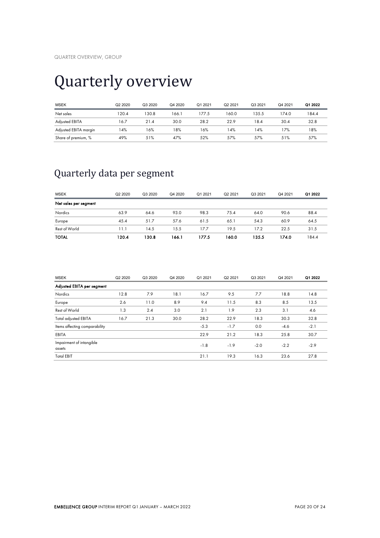# Quarterly overview

| <b>MSEK</b>           | Q2 2020 | Q3 2020 | Q4 2020 | Q1 2021 | Q2 2021 | Q3 2021 | Q4 2021 | Q1 2022 |
|-----------------------|---------|---------|---------|---------|---------|---------|---------|---------|
| Net sales             | 120.4   | 130.8   | 166.1   | 177.5   | 160.0   | 135.5   | 174.0   | 184.4   |
| Adjusted EBITA        | 16.7    | 21.4    | 30.0    | 28.2    | 22.9    | 18.4    | 30.4    | 32.8    |
| Adjusted EBITA margin | 4%      | 16%     | 18%     | 16%     | 14%     | 14%     | 17%     | 18%     |
| Share of premium, %   | 49%     | 51%     | 47%     | 52%     | 57%     | 57%     | 51%     | 57%     |

## Quarterly data per segment

| <b>MSEK</b>           | Q2 2020 | Q3 2020 | Q4 2020 | Q1 2021 | Q2 2021 | Q3 2021 | Q4 2021 | Q1 2022 |
|-----------------------|---------|---------|---------|---------|---------|---------|---------|---------|
| Net sales per segment |         |         |         |         |         |         |         |         |
| <b>Nordics</b>        | 63.9    | 64.6    | 93.0    | 98.3    | 75.4    | 64.0    | 90.6    | 88.4    |
| Europe                | 45.4    | 51.7    | 57.6    | 61.5    | 65.1    | 54.3    | 60.9    | 64.5    |
| Rest of World         | 11.1    | 14.5    | 15.5    | 17.7    | 19.5    | 17.2    | 22.5    | 31.5    |
| <b>TOTAL</b>          | 120.4   | 130.8   | 166.1   | 177.5   | 160.0   | 135.5   | 174.0   | 184.4   |

| <b>MSEK</b>                        | Q2 2020 | Q3 2020 | Q4 2020 | Q1 2021 | Q2 2021 | Q3 2021 | Q4 2021 | Q1 2022 |
|------------------------------------|---------|---------|---------|---------|---------|---------|---------|---------|
| Adjusted EBITA per segment         |         |         |         |         |         |         |         |         |
| Nordics                            | 12.8    | 7.9     | 18.1    | 16.7    | 9.5     | 7.7     | 18.8    | 14.8    |
| Europe                             | 2.6     | 11.0    | 8.9     | 9.4     | 11.5    | 8.3     | 8.5     | 13.5    |
| Rest of World                      | 1.3     | 2.4     | 3.0     | 2.1     | 1.9     | 2.3     | 3.1     | 4.6     |
| <b>Total adjusted EBITA</b>        | 16.7    | 21.3    | 30.0    | 28.2    | 22.9    | 18.3    | 30.3    | 32.8    |
| Items affecting comparability      |         |         |         | $-5.3$  | $-1.7$  | 0.0     | $-4.6$  | $-2.1$  |
| <b>EBITA</b>                       |         |         |         | 22.9    | 21.2    | 18.3    | 25.8    | 30.7    |
| Impairment of intangible<br>assets |         |         |         | $-1.8$  | $-1.9$  | $-2.0$  | $-2.2$  | $-2.9$  |
| <b>Total EBIT</b>                  |         |         |         | 21.1    | 19.3    | 16.3    | 23.6    | 27.8    |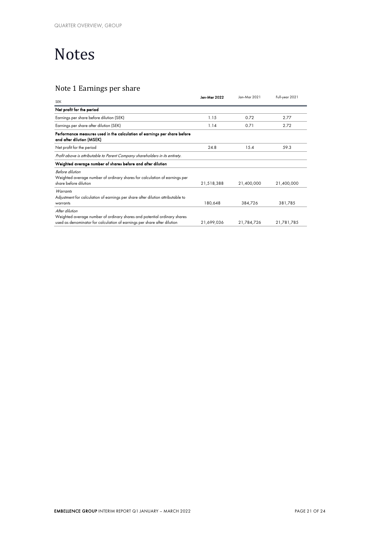# Notes

## Note 1 Earnings per share

| <b>SEK</b>                                                                                                                                                             | Jan-Mar 2022 | Jan-Mar 2021 | Full-year 2021 |
|------------------------------------------------------------------------------------------------------------------------------------------------------------------------|--------------|--------------|----------------|
| Net profit for the period                                                                                                                                              |              |              |                |
| Earnings per share before dilution (SEK)                                                                                                                               | 1.15         | 0.72         | 2.77           |
| Earnings per share after dilution (SEK)                                                                                                                                | 1.14         | 0.71         | 2.72           |
| Performance measures used in the calculation of earnings per share before<br>and after dilution (MSEK)                                                                 |              |              |                |
| Net profit for the period                                                                                                                                              | 24.8         | 15.4         | 59.3           |
| Profit above is attributable to Parent Company shareholders in its entirety.                                                                                           |              |              |                |
| Weighted average number of shares before and after dilution                                                                                                            |              |              |                |
| Before dilution<br>Weighted average number of ordinary shares for calculation of earnings per<br>share before dilution                                                 | 21,518,388   | 21,400,000   | 21,400,000     |
| Warrants<br>Adjustment for calculation of earnings per share after dilution attributable to<br>warrants                                                                | 180,648      | 384,726      | 381,785        |
| After dilution<br>Weighted average number of ordinary shares and potential ordinary shares<br>used as denominator for calculation of earnings per share after dilution | 21,699,036   | 21,784,726   | 21,781,785     |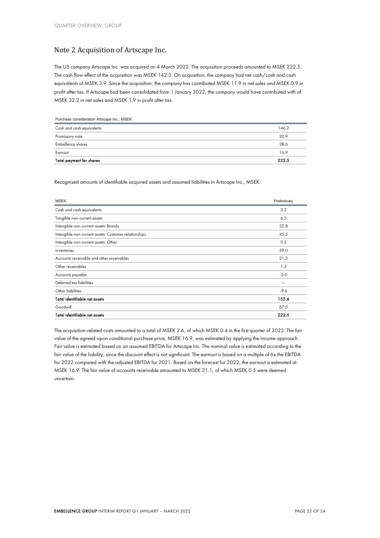## Note 2 Acquisition of Artscape Inc.

The US company Artscape Inc. was acquired on 4 March 2022. The acquisition proceeds amounted to MSEK 222.5. The cash flow effect of the acquisition was MSEK 142.3. On acquisition, the company had net cash/cash and cash equivalents of MSEK 3.9. Since the acquisition, the company has contributed MSEK 11.9 in net sales and MSEK 0.9 in profit after tax. If Artscape had been consolidated from 1 January 2022, the company would have contributed with of MSEK 32.2 in net sales and MSEK 1.9 in profit after tax.

| Purchase consideration Artscape Inc., MSEK: |       |
|---------------------------------------------|-------|
| Cash and cash equivalents                   | 146.2 |
| Promissory note                             | 20.9  |
| <b>Embellence shares</b>                    | 38.6  |
| Earnout                                     | 16.9  |
| Total payment for shares                    | 222.5 |

Recognised amounts of identifiable acquired assets and assumed liabilities in Artscape Inc., MSEK:

| <b>MSEK</b>                                           | Preliminary |
|-------------------------------------------------------|-------------|
| Cash and cash equivalents                             | 3.2         |
| Tangible non-current assets                           | 6.5         |
| Intangible non-current assets: Brands                 | 52.8        |
| Intangible non-current assets: Customer relationships | 45.5        |
| Intangible non-current assets: Other                  | 0.5         |
| Inventories                                           | 39.0        |
| Accounts receivable and other receivables             | 21.5        |
| Other receivables                                     | 1.2         |
| Accounts payable                                      | $-5.0$      |
| Deferred tax liabilities                              |             |
| Other liabilities                                     | $-9.6$      |
| Total identifiable net assets                         | 155.6       |
| Goodwill                                              | 67.0        |
| Total identifiable net assets                         | 222.5       |

The acquisition-related costs amounted to a total of MSEK 2.6, of which MSEK 0.4 in the first quarter of 2022. The fair value of the agreed-upon conditional purchase price, MSEK 16.9, was estimated by applying the income approach. Fair value is estimated based on an assumed EBITDA for Artscape Inc. The nominal value is estimated according to the fair value of the liability, since the discount effect is not significant. The earnout is based on a multiple of 6x the EBITDA for 2022 compared with the adjusted EBITDA for 2021. Based on the forecast for 2022, the earnout is estimated at MSEK 16.9. The fair value of accounts receivable amounted to MSEK 21.1, of which MSEK 0.5 were deemed uncertain.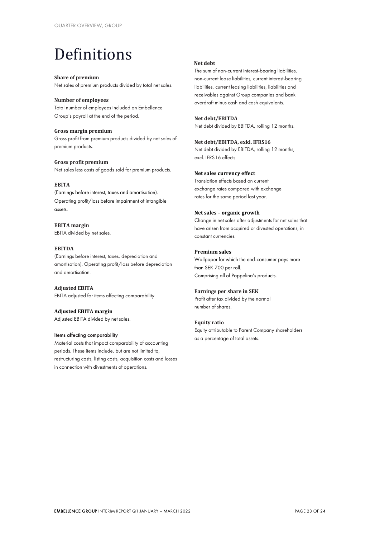# Definitions

### **Share of premium**

Net sales of premium products divided by total net sales.

## **Number of employees**

Total number of employees included on Embellence Group's payroll at the end of the period.

**Gross margin premium**  Gross profit from premium products divided by net sales of premium products.

### **Gross profit premium** Net sales less costs of goods sold for premium products.

### **EBITA**

(Earnings before interest, taxes and amortisation). Operating profit/loss before impairment of intangible assets.

**EBITA margin** EBITA divided by net sales.

## **EBITDA**

(Earnings before interest, taxes, depreciation and amortisation). Operating profit/loss before depreciation and amortisation.

### **Adjusted EBITA**

EBITA adjusted for items affecting comparability.

## **Adjusted EBITA margin**

Adjusted EBITA divided by net sales.

#### Items affecting comparability

Material costs that impact comparability of accounting periods. These items include, but are not limited to, restructuring costs, listing costs, acquisition costs and losses in connection with divestments of operations.

## **Net debt**

The sum of non-current interest-bearing liabilities, non-current lease liabilities, current interest-bearing liabilities, current leasing liabilities, liabilities and receivables against Group companies and bank overdraft minus cash and cash equivalents.

## **Net debt/EBITDA**

Net debt divided by EBITDA, rolling 12 months.

## **Net debt/EBITDA, exkl. IFRS16**

Net debt divided by EBITDA, rolling 12 months, excl. IFRS16 effects

### **Net sales currency effect**

Translation effects based on current exchange rates compared with exchange rates for the same period last year.

### **Net sales – organic growth**

Change in net sales after adjustments for net sales that have arisen from acquired or divested operations, in constant currencies.

## **Premium sales**

Wallpaper for which the end-consumer pays more than SEK 700 per roll. Comprising all of Pappelina's products.

### **Earnings per share in SEK**

Profit after tax divided by the normal number of shares.

### **Equity ratio**

Equity attributable to Parent Company shareholders as a percentage of total assets.